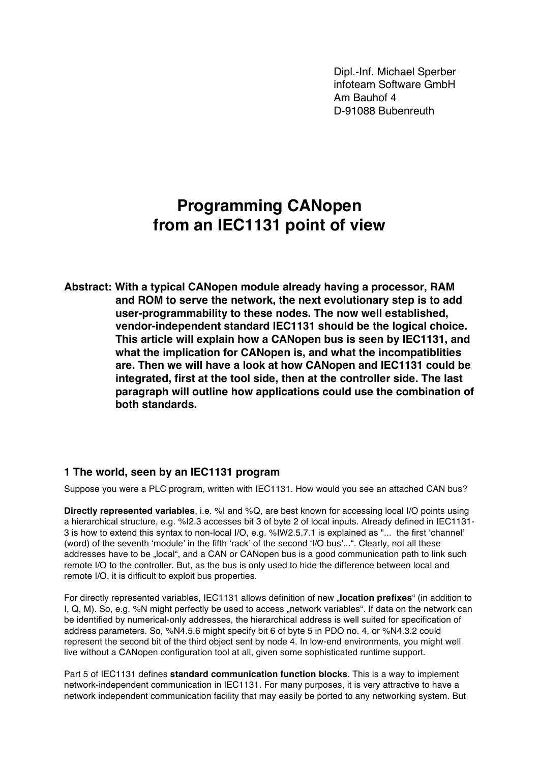Dipl.-Inf. Michael Sperber infoteam Software GmbH Am Bauhof 4 D-91088 Bubenreuth

# **Programming CANopen from an IEC1131 point of view**

**Abstract: With a typical CANopen module already having a processor, RAM and ROM to serve the network, the next evolutionary step is to add user-programmability to these nodes. The now well established, vendor-independent standard IEC1131 should be the logical choice. This article will explain how a CANopen bus is seen by IEC1131, and what the implication for CANopen is, and what the incompatiblities are. Then we will have a look at how CANopen and IEC1131 could be integrated, first at the tool side, then at the controller side. The last paragraph will outline how applications could use the combination of both standards.**

### **1 The world, seen by an IEC1131 program**

Suppose you were a PLC program, written with IEC1131. How would you see an attached CAN bus?

**Directly represented variables**, i.e. %I and %Q, are best known for accessing local I/O points using a hierarchical structure, e.g. %I2.3 accesses bit 3 of byte 2 of local inputs. Already defined in IEC1131- 3 is how to extend this syntax to non-local I/O, e.g. %IW2.5.7.1 is explained as "... the first 'channel' (word) of the seventh 'module' in the fifth 'rack' of the second 'I/O bus'...". Clearly, not all these addresses have to be "local", and a CAN or CANopen bus is a good communication path to link such remote I/O to the controller. But, as the bus is only used to hide the difference between local and remote I/O, it is difficult to exploit bus properties.

For directly represented variables, IEC1131 allows definition of new "**location prefixes**" (in addition to I, Q, M). So, e.g. %N might perfectly be used to access "network variables". If data on the network can be identified by numerical-only addresses, the hierarchical address is well suited for specification of address parameters. So, %N4.5.6 might specify bit 6 of byte 5 in PDO no. 4, or %N4.3.2 could represent the second bit of the third object sent by node 4. In low-end environments, you might well live without a CANopen configuration tool at all, given some sophisticated runtime support.

Part 5 of IEC1131 defines **standard communication function blocks**. This is a way to implement network-independent communication in IEC1131. For many purposes, it is very attractive to have a network independent communication facility that may easily be ported to any networking system. But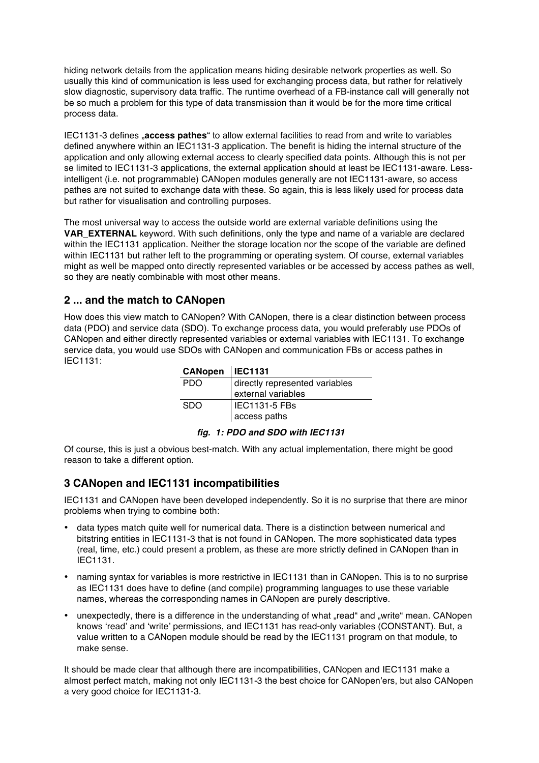hiding network details from the application means hiding desirable network properties as well. So usually this kind of communication is less used for exchanging process data, but rather for relatively slow diagnostic, supervisory data traffic. The runtime overhead of a FB-instance call will generally not be so much a problem for this type of data transmission than it would be for the more time critical process data.

IEC1131-3 defines "**access pathes**" to allow external facilities to read from and write to variables defined anywhere within an IEC1131-3 application. The benefit is hiding the internal structure of the application and only allowing external access to clearly specified data points. Although this is not per se limited to IEC1131-3 applications, the external application should at least be IEC1131-aware. Lessintelligent (i.e. not programmable) CANopen modules generally are not IEC1131-aware, so access pathes are not suited to exchange data with these. So again, this is less likely used for process data but rather for visualisation and controlling purposes.

The most universal way to access the outside world are external variable definitions using the **VAR\_EXTERNAL** keyword. With such definitions, only the type and name of a variable are declared within the IEC1131 application. Neither the storage location nor the scope of the variable are defined within IEC1131 but rather left to the programming or operating system. Of course, external variables might as well be mapped onto directly represented variables or be accessed by access pathes as well, so they are neatly combinable with most other means.

# **2 ... and the match to CANopen**

How does this view match to CANopen? With CANopen, there is a clear distinction between process data (PDO) and service data (SDO). To exchange process data, you would preferably use PDOs of CANopen and either directly represented variables or external variables with IEC1131. To exchange service data, you would use SDOs with CANopen and communication FBs or access pathes in IEC1131:

| CANopen   IEC1131 |                                |
|-------------------|--------------------------------|
| PDO.              | directly represented variables |
|                   | external variables             |
| <b>SDO</b>        | <b>IEC1131-5 FBs</b>           |
|                   | access paths                   |

#### *fig. 1: PDO and SDO with IEC1131*

Of course, this is just a obvious best-match. With any actual implementation, there might be good reason to take a different option.

### **3 CANopen and IEC1131 incompatibilities**

IEC1131 and CANopen have been developed independently. So it is no surprise that there are minor problems when trying to combine both:

- data types match quite well for numerical data. There is a distinction between numerical and bitstring entities in IEC1131-3 that is not found in CANopen. The more sophisticated data types (real, time, etc.) could present a problem, as these are more strictly defined in CANopen than in IEC1131.
- naming syntax for variables is more restrictive in IEC1131 than in CANopen. This is to no surprise as IEC1131 does have to define (and compile) programming languages to use these variable names, whereas the corresponding names in CANopen are purely descriptive.
- unexpectedly, there is a difference in the understanding of what ..read" and ..write" mean. CANopen knows 'read' and 'write' permissions, and IEC1131 has read-only variables (CONSTANT). But, a value written to a CANopen module should be read by the IEC1131 program on that module, to make sense.

It should be made clear that although there are incompatibilities, CANopen and IEC1131 make a almost perfect match, making not only IEC1131-3 the best choice for CANopen'ers, but also CANopen a very good choice for IEC1131-3.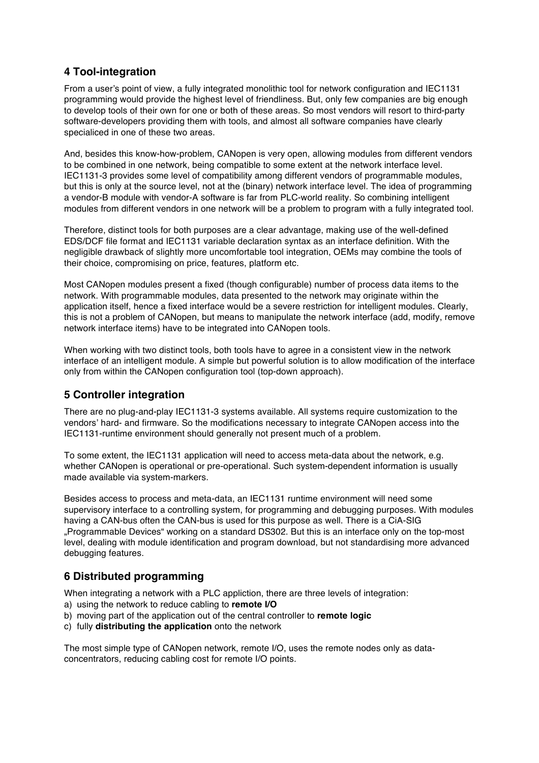# **4 Tool-integration**

From a user's point of view, a fully integrated monolithic tool for network configuration and IEC1131 programming would provide the highest level of friendliness. But, only few companies are big enough to develop tools of their own for one or both of these areas. So most vendors will resort to third-party software-developers providing them with tools, and almost all software companies have clearly specialiced in one of these two areas.

And, besides this know-how-problem, CANopen is very open, allowing modules from different vendors to be combined in one network, being compatible to some extent at the network interface level. IEC1131-3 provides some level of compatibility among different vendors of programmable modules, but this is only at the source level, not at the (binary) network interface level. The idea of programming a vendor-B module with vendor-A software is far from PLC-world reality. So combining intelligent modules from different vendors in one network will be a problem to program with a fully integrated tool.

Therefore, distinct tools for both purposes are a clear advantage, making use of the well-defined EDS/DCF file format and IEC1131 variable declaration syntax as an interface definition. With the negligible drawback of slightly more uncomfortable tool integration, OEMs may combine the tools of their choice, compromising on price, features, platform etc.

Most CANopen modules present a fixed (though configurable) number of process data items to the network. With programmable modules, data presented to the network may originate within the application itself, hence a fixed interface would be a severe restriction for intelligent modules. Clearly, this is not a problem of CANopen, but means to manipulate the network interface (add, modify, remove network interface items) have to be integrated into CANopen tools.

When working with two distinct tools, both tools have to agree in a consistent view in the network interface of an intelligent module. A simple but powerful solution is to allow modification of the interface only from within the CANopen configuration tool (top-down approach).

### **5 Controller integration**

There are no plug-and-play IEC1131-3 systems available. All systems require customization to the vendors' hard- and firmware. So the modifications necessary to integrate CANopen access into the IEC1131-runtime environment should generally not present much of a problem.

To some extent, the IEC1131 application will need to access meta-data about the network, e.g. whether CANopen is operational or pre-operational. Such system-dependent information is usually made available via system-markers.

Besides access to process and meta-data, an IEC1131 runtime environment will need some supervisory interface to a controlling system, for programming and debugging purposes. With modules having a CAN-bus often the CAN-bus is used for this purpose as well. There is a CiA-SIG "Programmable Devices" working on a standard DS302. But this is an interface only on the top-most level, dealing with module identification and program download, but not standardising more advanced debugging features.

### **6 Distributed programming**

When integrating a network with a PLC appliction, there are three levels of integration:

- a) using the network to reduce cabling to **remote I/O**
- b) moving part of the application out of the central controller to **remote logic**
- c) fully **distributing the application** onto the network

The most simple type of CANopen network, remote I/O, uses the remote nodes only as dataconcentrators, reducing cabling cost for remote I/O points.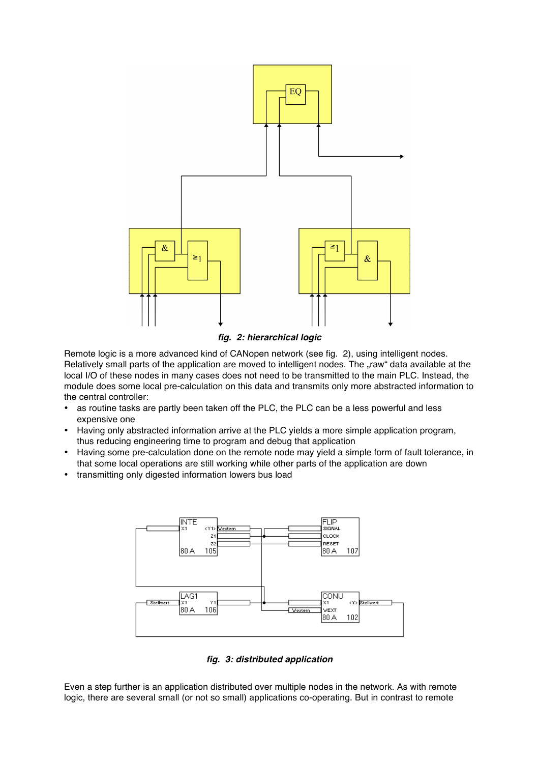

*fig. 2: hierarchical logic*

Remote logic is a more advanced kind of CANopen network (see fig. 2), using intelligent nodes. Relatively small parts of the application are moved to intelligent nodes. The "raw" data available at the local I/O of these nodes in many cases does not need to be transmitted to the main PLC. Instead, the module does some local pre-calculation on this data and transmits only more abstracted information to the central controller:

- as routine tasks are partly been taken off the PLC, the PLC can be a less powerful and less expensive one
- Having only abstracted information arrive at the PLC yields a more simple application program, thus reducing engineering time to program and debug that application
- Having some pre-calculation done on the remote node may yield a simple form of fault tolerance, in that some local operations are still working while other parts of the application are down
- transmitting only digested information lowers bus load



*fig. 3: distributed application*

Even a step further is an application distributed over multiple nodes in the network. As with remote logic, there are several small (or not so small) applications co-operating. But in contrast to remote